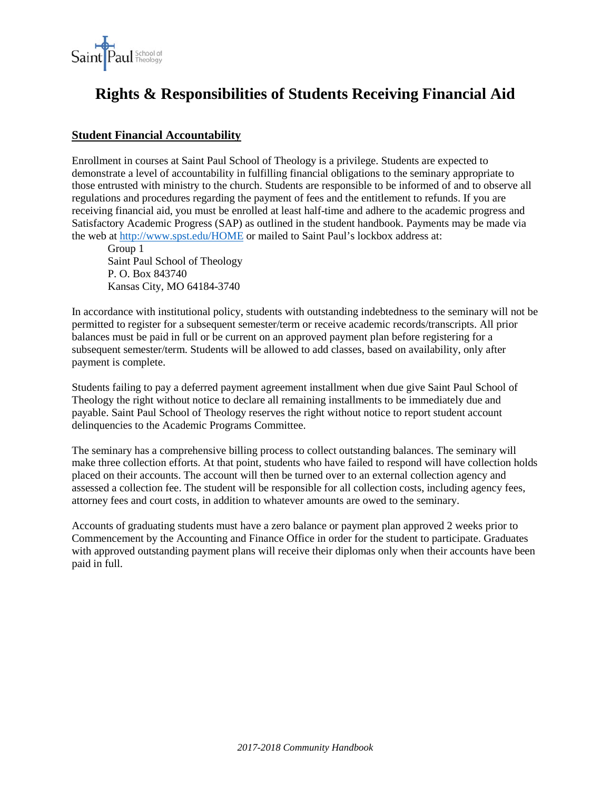

# **Rights & Responsibilities of Students Receiving Financial Aid**

# **Student Financial Accountability**

Enrollment in courses at Saint Paul School of Theology is a privilege. Students are expected to demonstrate a level of accountability in fulfilling financial obligations to the seminary appropriate to those entrusted with ministry to the church. Students are responsible to be informed of and to observe all regulations and procedures regarding the payment of fees and the entitlement to refunds. If you are receiving financial aid, you must be enrolled at least half-time and adhere to the academic progress and Satisfactory Academic Progress (SAP) as outlined in the student handbook. Payments may be made via the web at<http://www.spst.edu/HOME> or mailed to Saint Paul's lockbox address at:

Group 1 Saint Paul School of Theology P. O. Box 843740 Kansas City, MO 64184-3740

In accordance with institutional policy, students with outstanding indebtedness to the seminary will not be permitted to register for a subsequent semester/term or receive academic records/transcripts. All prior balances must be paid in full or be current on an approved payment plan before registering for a subsequent semester/term. Students will be allowed to add classes, based on availability, only after payment is complete.

Students failing to pay a deferred payment agreement installment when due give Saint Paul School of Theology the right without notice to declare all remaining installments to be immediately due and payable. Saint Paul School of Theology reserves the right without notice to report student account delinquencies to the Academic Programs Committee.

The seminary has a comprehensive billing process to collect outstanding balances. The seminary will make three collection efforts. At that point, students who have failed to respond will have collection holds placed on their accounts. The account will then be turned over to an external collection agency and assessed a collection fee. The student will be responsible for all collection costs, including agency fees, attorney fees and court costs, in addition to whatever amounts are owed to the seminary.

Accounts of graduating students must have a zero balance or payment plan approved 2 weeks prior to Commencement by the Accounting and Finance Office in order for the student to participate. Graduates with approved outstanding payment plans will receive their diplomas only when their accounts have been paid in full.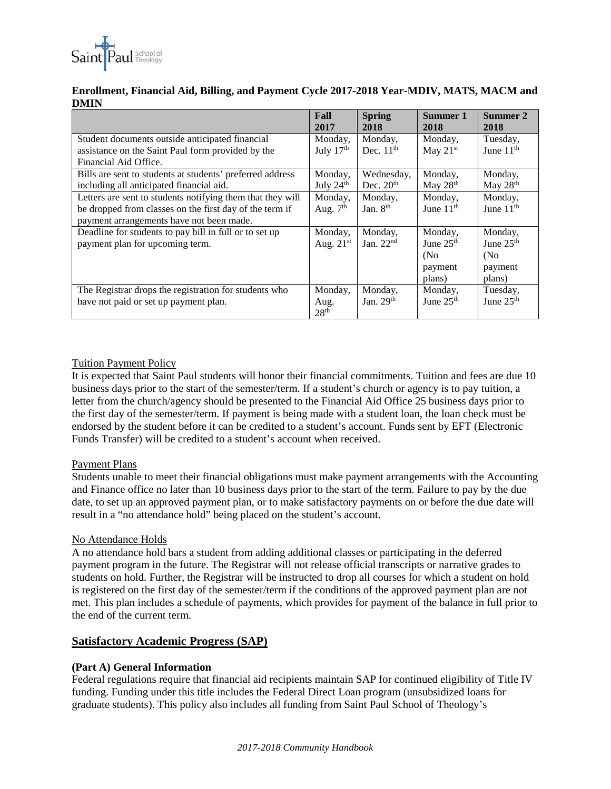

## **Enrollment, Financial Aid, Billing, and Payment Cycle 2017-2018 Year-MDIV, MATS, MACM and DMIN**

|                                                            | Fall<br>2017     | <b>Spring</b><br>2018 | Summer 1<br>2018 | Summer 2<br>2018      |
|------------------------------------------------------------|------------------|-----------------------|------------------|-----------------------|
| Student documents outside anticipated financial            | Monday,          | Monday,               | Monday,          | Tuesday,              |
| assistance on the Saint Paul form provided by the          | July $17th$      | Dec. $11th$           | May $21st$       | June 11 <sup>th</sup> |
| Financial Aid Office.                                      |                  |                       |                  |                       |
| Bills are sent to students at students' preferred address  | Monday,          | Wednesday,            | Monday,          | Monday,               |
| including all anticipated financial aid.                   | July 24th        | Dec. $20th$           | May 28th         | May 28th              |
| Letters are sent to students notifying them that they will | Monday,          | Monday,               | Monday,          | Monday,               |
| be dropped from classes on the first day of the term if    | Aug. $7th$       | Jan. 8 <sup>th</sup>  | June $11th$      | June $11th$           |
| payment arrangements have not been made.                   |                  |                       |                  |                       |
| Deadline for students to pay bill in full or to set up     | Monday,          | Monday,               | Monday,          | Monday,               |
| payment plan for upcoming term.                            | Aug. $21st$      | Jan. $22nd$           | June $25th$      | June 25 <sup>th</sup> |
|                                                            |                  |                       | (No)             | (N <sub>0</sub> )     |
|                                                            |                  |                       | payment          | payment               |
|                                                            |                  |                       | plans)           | plans)                |
| The Registrar drops the registration for students who      | Monday,          | Monday,               | Monday,          | Tuesday,              |
| have not paid or set up payment plan.                      | Aug.             | Jan. $29th$           | June $25th$      | June $25th$           |
|                                                            | 28 <sup>th</sup> |                       |                  |                       |

## Tuition Payment Policy

It is expected that Saint Paul students will honor their financial commitments. Tuition and fees are due 10 business days prior to the start of the semester/term. If a student's church or agency is to pay tuition, a letter from the church/agency should be presented to the Financial Aid Office 25 business days prior to the first day of the semester/term. If payment is being made with a student loan, the loan check must be endorsed by the student before it can be credited to a student's account. Funds sent by EFT (Electronic Funds Transfer) will be credited to a student's account when received.

## Payment Plans

Students unable to meet their financial obligations must make payment arrangements with the Accounting and Finance office no later than 10 business days prior to the start of the term. Failure to pay by the due date, to set up an approved payment plan, or to make satisfactory payments on or before the due date will result in a "no attendance hold" being placed on the student's account.

## No Attendance Holds

A no attendance hold bars a student from adding additional classes or participating in the deferred payment program in the future. The Registrar will not release official transcripts or narrative grades to students on hold. Further, the Registrar will be instructed to drop all courses for which a student on hold is registered on the first day of the semester/term if the conditions of the approved payment plan are not met. This plan includes a schedule of payments, which provides for payment of the balance in full prior to the end of the current term.

## **Satisfactory Academic Progress (SAP)**

## **(Part A) General Information**

Federal regulations require that financial aid recipients maintain SAP for continued eligibility of Title IV funding. Funding under this title includes the Federal Direct Loan program (unsubsidized loans for graduate students). This policy also includes all funding from Saint Paul School of Theology's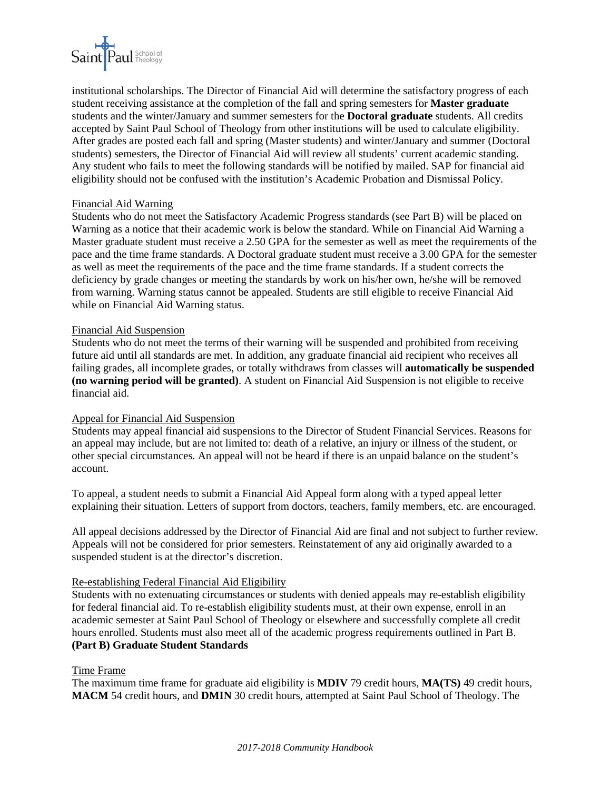

institutional scholarships. The Director of Financial Aid will determine the satisfactory progress of each student receiving assistance at the completion of the fall and spring semesters for **Master graduate**  students and the winter/January and summer semesters for the **Doctoral graduate** students. All credits accepted by Saint Paul School of Theology from other institutions will be used to calculate eligibility. After grades are posted each fall and spring (Master students) and winter/January and summer (Doctoral students) semesters, the Director of Financial Aid will review all students' current academic standing. Any student who fails to meet the following standards will be notified by mailed. SAP for financial aid eligibility should not be confused with the institution's Academic Probation and Dismissal Policy.

#### Financial Aid Warning

Students who do not meet the Satisfactory Academic Progress standards (see Part B) will be placed on Warning as a notice that their academic work is below the standard. While on Financial Aid Warning a Master graduate student must receive a 2.50 GPA for the semester as well as meet the requirements of the pace and the time frame standards. A Doctoral graduate student must receive a 3.00 GPA for the semester as well as meet the requirements of the pace and the time frame standards. If a student corrects the deficiency by grade changes or meeting the standards by work on his/her own, he/she will be removed from warning. Warning status cannot be appealed. Students are still eligible to receive Financial Aid while on Financial Aid Warning status.

#### Financial Aid Suspension

Students who do not meet the terms of their warning will be suspended and prohibited from receiving future aid until all standards are met. In addition, any graduate financial aid recipient who receives all failing grades, all incomplete grades, or totally withdraws from classes will **automatically be suspended (no warning period will be granted)**. A student on Financial Aid Suspension is not eligible to receive financial aid.

#### Appeal for Financial Aid Suspension

Students may appeal financial aid suspensions to the Director of Student Financial Services. Reasons for an appeal may include, but are not limited to: death of a relative, an injury or illness of the student, or other special circumstances. An appeal will not be heard if there is an unpaid balance on the student's account.

To appeal, a student needs to submit a Financial Aid Appeal form along with a typed appeal letter explaining their situation. Letters of support from doctors, teachers, family members, etc. are encouraged.

All appeal decisions addressed by the Director of Financial Aid are final and not subject to further review. Appeals will not be considered for prior semesters. Reinstatement of any aid originally awarded to a suspended student is at the director's discretion.

#### Re-establishing Federal Financial Aid Eligibility

Students with no extenuating circumstances or students with denied appeals may re-establish eligibility for federal financial aid. To re-establish eligibility students must, at their own expense, enroll in an academic semester at Saint Paul School of Theology or elsewhere and successfully complete all credit hours enrolled. Students must also meet all of the academic progress requirements outlined in Part B. **(Part B) Graduate Student Standards** 

#### Time Frame

The maximum time frame for graduate aid eligibility is **MDIV** 79 credit hours, **MA(TS)** 49 credit hours, **MACM** 54 credit hours, and **DMIN** 30 credit hours, attempted at Saint Paul School of Theology. The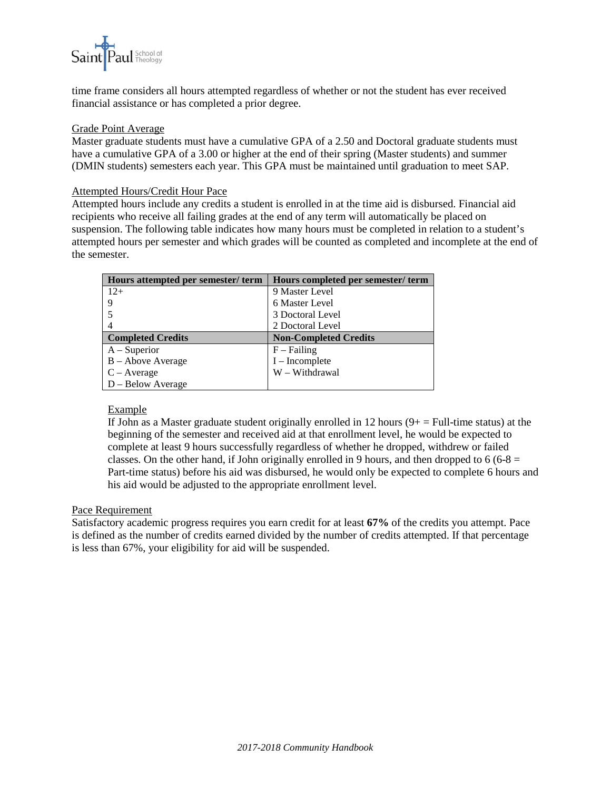

time frame considers all hours attempted regardless of whether or not the student has ever received financial assistance or has completed a prior degree.

#### Grade Point Average

Master graduate students must have a cumulative GPA of a 2.50 and Doctoral graduate students must have a cumulative GPA of a 3.00 or higher at the end of their spring (Master students) and summer (DMIN students) semesters each year. This GPA must be maintained until graduation to meet SAP.

#### Attempted Hours/Credit Hour Pace

Attempted hours include any credits a student is enrolled in at the time aid is disbursed. Financial aid recipients who receive all failing grades at the end of any term will automatically be placed on suspension. The following table indicates how many hours must be completed in relation to a student's attempted hours per semester and which grades will be counted as completed and incomplete at the end of the semester.

| Hours attempted per semester/term | Hours completed per semester/term |  |
|-----------------------------------|-----------------------------------|--|
| $12+$                             | 9 Master Level                    |  |
| 9                                 | 6 Master Level                    |  |
|                                   | 3 Doctoral Level                  |  |
| 4                                 | 2 Doctoral Level                  |  |
| <b>Completed Credits</b>          | <b>Non-Completed Credits</b>      |  |
| $A - Superior$                    | $F$ – Failing                     |  |
| $B - Above Average$               | $I$ – Incomplete                  |  |
| $C - Average$                     | W - Withdrawal                    |  |
| D – Below Average                 |                                   |  |

## Example

If John as a Master graduate student originally enrolled in 12 hours  $(9 + 2$  Full-time status) at the beginning of the semester and received aid at that enrollment level, he would be expected to complete at least 9 hours successfully regardless of whether he dropped, withdrew or failed classes. On the other hand, if John originally enrolled in 9 hours, and then dropped to 6 (6-8  $=$ Part-time status) before his aid was disbursed, he would only be expected to complete 6 hours and his aid would be adjusted to the appropriate enrollment level.

#### Pace Requirement

Satisfactory academic progress requires you earn credit for at least **67%** of the credits you attempt. Pace is defined as the number of credits earned divided by the number of credits attempted. If that percentage is less than 67%, your eligibility for aid will be suspended.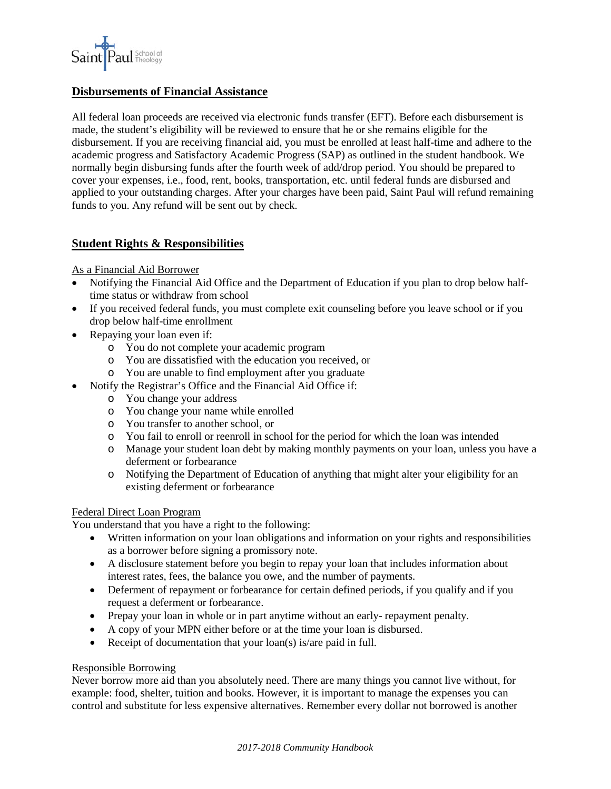

## **Disbursements of Financial Assistance**

All federal loan proceeds are received via electronic funds transfer (EFT). Before each disbursement is made, the student's eligibility will be reviewed to ensure that he or she remains eligible for the disbursement. If you are receiving financial aid, you must be enrolled at least half-time and adhere to the academic progress and Satisfactory Academic Progress (SAP) as outlined in the student handbook. We normally begin disbursing funds after the fourth week of add/drop period. You should be prepared to cover your expenses, i.e., food, rent, books, transportation, etc. until federal funds are disbursed and applied to your outstanding charges. After your charges have been paid, Saint Paul will refund remaining funds to you. Any refund will be sent out by check.

## **Student Rights & Responsibilities**

#### As a Financial Aid Borrower

- Notifying the Financial Aid Office and the Department of Education if you plan to drop below halftime status or withdraw from school
- If you received federal funds, you must complete exit counseling before you leave school or if you drop below half-time enrollment
- Repaying your loan even if:
	- o You do not complete your academic program
	- o You are dissatisfied with the education you received, or
	- o You are unable to find employment after you graduate
- Notify the Registrar's Office and the Financial Aid Office if:
	- o You change your address
	- o You change your name while enrolled
	- o You transfer to another school, or
	- o You fail to enroll or reenroll in school for the period for which the loan was intended
	- o Manage your student loan debt by making monthly payments on your loan, unless you have a deferment or forbearance
	- o Notifying the Department of Education of anything that might alter your eligibility for an existing deferment or forbearance

## Federal Direct Loan Program

You understand that you have a right to the following:

- Written information on your loan obligations and information on your rights and responsibilities as a borrower before signing a promissory note.
- A disclosure statement before you begin to repay your loan that includes information about interest rates, fees, the balance you owe, and the number of payments.
- Deferment of repayment or forbearance for certain defined periods, if you qualify and if you request a deferment or forbearance.
- Prepay your loan in whole or in part anytime without an early- repayment penalty.
- A copy of your MPN either before or at the time your loan is disbursed.
- Receipt of documentation that your loan(s) is/are paid in full.

## Responsible Borrowing

Never borrow more aid than you absolutely need. There are many things you cannot live without, for example: food, shelter, tuition and books. However, it is important to manage the expenses you can control and substitute for less expensive alternatives. Remember every dollar not borrowed is another